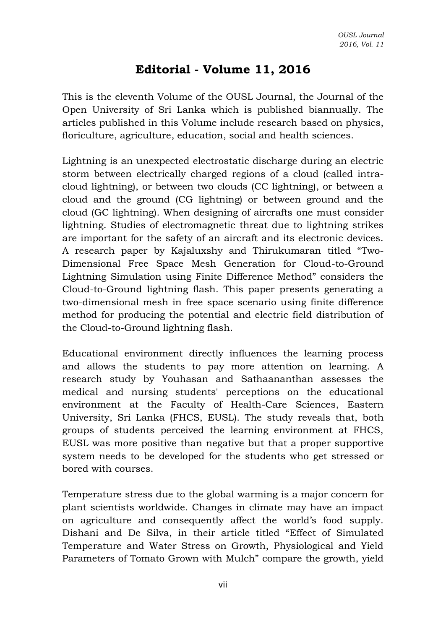## **Editorial - Volume 11, 2016**

This is the eleventh Volume of the OUSL Journal, the Journal of the Open University of Sri Lanka which is published biannually. The articles published in this Volume include research based on physics, floriculture, agriculture, education, social and health sciences.

Lightning is an unexpected [electrostatic discharge](http://en.wikipedia.org/wiki/Electrostatic_discharge) during an [electric](http://en.wikipedia.org/wiki/Electric_storm)  [storm](http://en.wikipedia.org/wiki/Electric_storm) between [electrically charged](http://en.wikipedia.org/wiki/Electric_charge) regions of a [cloud](http://en.wikipedia.org/wiki/Thundercloud) (called intracloud lightning), or between two clouds (CC lightning), or between a cloud and the ground (CG lightning) or between ground and the cloud (GC lightning). When designing of aircrafts one must consider lightning. Studies of electromagnetic threat due to lightning strikes are important for the safety of an aircraft and its electronic devices. A research paper by Kajaluxshy and Thirukumaran titled "Two-Dimensional Free Space Mesh Generation for Cloud-to-Ground Lightning Simulation using Finite Difference Method" considers the Cloud-to-Ground lightning flash. This paper presents generating a two-dimensional mesh in free space scenario using finite difference method for producing the potential and electric field distribution of the Cloud-to-Ground lightning flash.

Educational environment directly influences the learning process and allows the students to pay more attention on learning. A research study by Youhasan and Sathaananthan assesses the medical and nursing students' perceptions on the educational environment at the Faculty of Health-Care Sciences, Eastern University, Sri Lanka (FHCS, EUSL). The study reveals that, both groups of students perceived the learning environment at FHCS, EUSL was more positive than negative but that a proper supportive system needs to be developed for the students who get stressed or bored with courses.

Temperature stress due to the global warming is a major concern for plant scientists worldwide. Changes in climate may have an impact on agriculture and consequently affect the world's food supply. Dishani and De Silva, in their article titled "Effect of Simulated Temperature and Water Stress on Growth, Physiological and Yield Parameters of Tomato Grown with Mulch" compare the growth, yield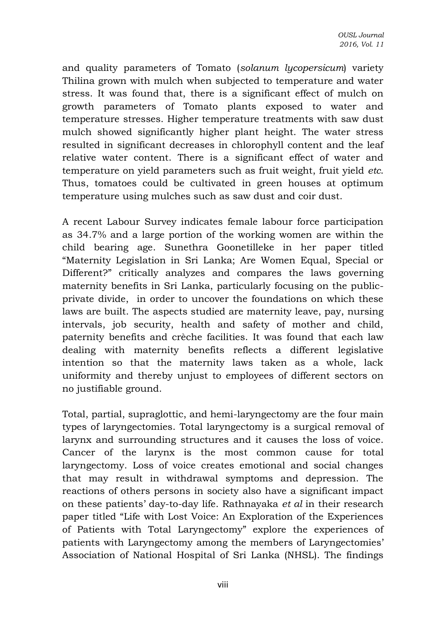and quality parameters of Tomato (*solanum lycopersicum*) variety Thilina grown with mulch when subjected to temperature and water stress. It was found that, there is a significant effect of mulch on growth parameters of Tomato plants exposed to water and temperature stresses. Higher temperature treatments with saw dust mulch showed significantly higher plant height. The water stress resulted in significant decreases in chlorophyll content and the leaf relative water content. There is a significant effect of water and temperature on yield parameters such as fruit weight, fruit yield *etc*. Thus, tomatoes could be cultivated in green houses at optimum temperature using mulches such as saw dust and coir dust.

A recent Labour Survey indicates female labour force participation as 34.7% and a large portion of the working women are within the child bearing age. Sunethra Goonetilleke in her paper titled "Maternity Legislation in Sri Lanka; Are Women Equal, Special or Different?" critically analyzes and compares the laws governing maternity benefits in Sri Lanka, particularly focusing on the publicprivate divide, in order to uncover the foundations on which these laws are built. The aspects studied are maternity leave, pay, nursing intervals, job security, health and safety of mother and child, paternity benefits and crèche facilities. It was found that each law dealing with maternity benefits reflects a different legislative intention so that the maternity laws taken as a whole, lack uniformity and thereby unjust to employees of different sectors on no justifiable ground.

Total, partial, supraglottic, and hemi-laryngectomy are the four main types of laryngectomies. Total laryngectomy is a surgical removal of larynx and surrounding structures and it causes the loss of voice. Cancer of the larynx is the most common cause for total laryngectomy. Loss of voice creates emotional and social changes that may result in withdrawal symptoms and depression. The reactions of others persons in society also have a significant impact on these patients' day-to-day life. Rathnayaka *et al* in their research paper titled "Life with Lost Voice: An Exploration of the Experiences of Patients with Total Laryngectomy" explore the experiences of patients with Laryngectomy among the members of Laryngectomies' Association of National Hospital of Sri Lanka (NHSL). The findings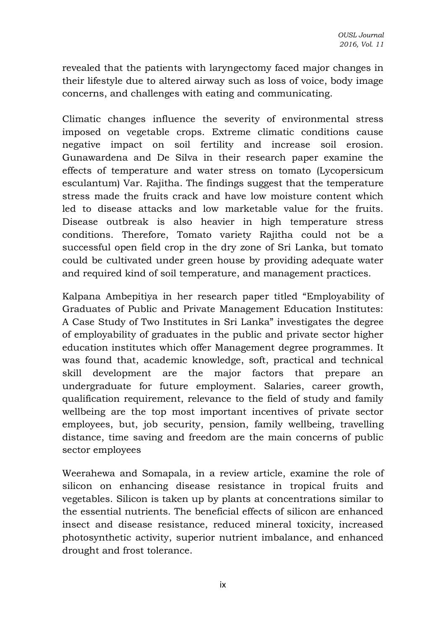revealed that the patients with laryngectomy faced major changes in their lifestyle due to altered airway such as loss of voice, body image concerns, and challenges with eating and communicating.

Climatic changes influence the severity of environmental stress imposed on vegetable crops. Extreme climatic conditions cause negative impact on soil fertility and increase soil erosion. Gunawardena and De Silva in their research paper examine the effects of temperature and water stress on tomato (Lycopersicum esculantum) Var. Rajitha. The findings suggest that the temperature stress made the fruits crack and have low moisture content which led to disease attacks and low marketable value for the fruits. Disease outbreak is also heavier in high temperature stress conditions. Therefore, Tomato variety Rajitha could not be a successful open field crop in the dry zone of Sri Lanka, but tomato could be cultivated under green house by providing adequate water and required kind of soil temperature, and management practices.

Kalpana Ambepitiya in her research paper titled "Employability of Graduates of Public and Private Management Education Institutes: A Case Study of Two Institutes in Sri Lanka" investigates the degree of employability of graduates in the public and private sector higher education institutes which offer Management degree programmes. It was found that, academic knowledge, soft, practical and technical skill development are the major factors that prepare an undergraduate for future employment. Salaries, career growth, qualification requirement, relevance to the field of study and family wellbeing are the top most important incentives of private sector employees, but, job security, pension, family wellbeing, travelling distance, time saving and freedom are the main concerns of public sector employees

Weerahewa and Somapala, in a review article, examine the role of silicon on enhancing disease resistance in tropical fruits and vegetables. Silicon is taken up by plants at concentrations similar to the essential nutrients. The beneficial effects of silicon are enhanced insect and disease resistance, reduced mineral toxicity, increased photosynthetic activity, superior nutrient imbalance, and enhanced drought and frost tolerance.